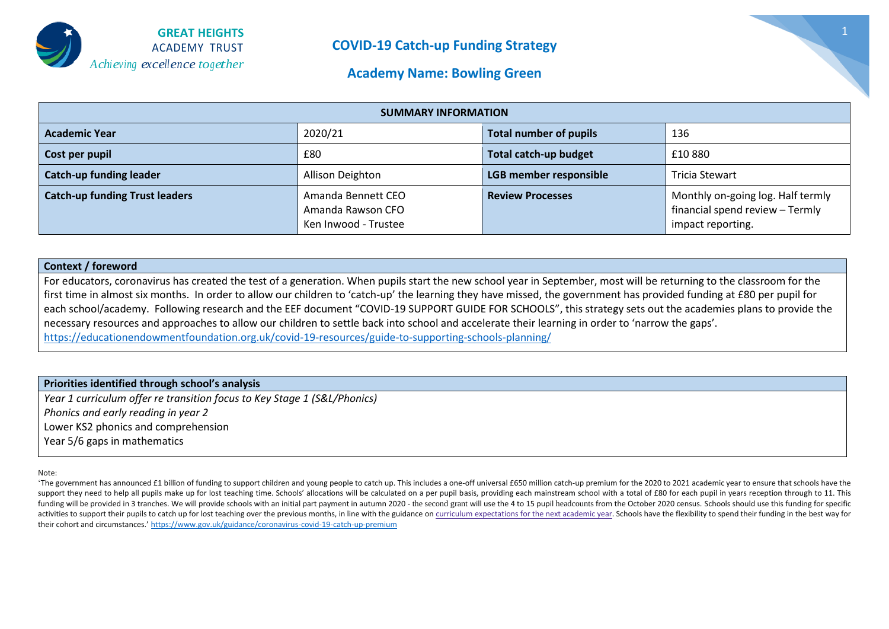

#### **Academy Name: Bowling Green**

| <b>SUMMARY INFORMATION</b>            |                                                                 |                               |                                                                                           |  |  |  |
|---------------------------------------|-----------------------------------------------------------------|-------------------------------|-------------------------------------------------------------------------------------------|--|--|--|
| <b>Academic Year</b>                  | 2020/21                                                         | <b>Total number of pupils</b> | 136                                                                                       |  |  |  |
| Cost per pupil                        | £80                                                             | <b>Total catch-up budget</b>  | £10880                                                                                    |  |  |  |
| <b>Catch-up funding leader</b>        | Allison Deighton                                                | <b>LGB member responsible</b> | Tricia Stewart                                                                            |  |  |  |
| <b>Catch-up funding Trust leaders</b> | Amanda Bennett CEO<br>Amanda Rawson CFO<br>Ken Inwood - Trustee | <b>Review Processes</b>       | Monthly on-going log. Half termly<br>financial spend review - Termly<br>impact reporting. |  |  |  |

#### **Context / foreword**

For educators, coronavirus has created the test of a generation. When pupils start the new school year in September, most will be returning to the classroom for the first time in almost six months. In order to allow our children to 'catch-up' the learning they have missed, the government has provided funding at £80 per pupil for each school/academy. Following research and the EEF document "COVID-19 SUPPORT GUIDE FOR SCHOOLS", this strategy sets out the academies plans to provide the necessary resources and approaches to allow our children to settle back into school and accelerate their learning in order to 'narrow the gaps'. <https://educationendowmentfoundation.org.uk/covid-19-resources/guide-to-supporting-schools-planning/>

#### **Priorities identified through school's analysis**

*Year 1 curriculum offer re transition focus to Key Stage 1 (S&L/Phonics) Phonics and early reading in year 2* Lower KS2 phonics and comprehension Year 5/6 gaps in mathematics

Note:

'The government has announced £1 billion of funding to support children and young people to catch up. This includes a one-off universal £650 million catch-up premium for the 2020 to 2021 academic year to ensure that school support they need to help all pupils make up for lost teaching time. Schools' allocations will be calculated on a per pupil basis, providing each mainstream school with a total of £80 for each pupil in years reception thro funding will be provided in 3 tranches. We will provide schools with an initial part payment in autumn 2020 - the second grant will use the 4 to 15 pupil headcounts from the October 2020 census. Schools should use this fun activities to support their pupils to catch up for lost teaching over the previous months, in line with the guidance on curriculum [expectations](https://www.gov.uk/government/publications/actions-for-schools-during-the-coronavirus-outbreak/guidance-for-full-opening-schools#section-3-curriculum-behaviour-and-pastoral-support) for the next academic year. Schools have the flexibility to spend their fundin their cohort and circumstances.' <https://www.gov.uk/guidance/coronavirus-covid-19-catch-up-premium>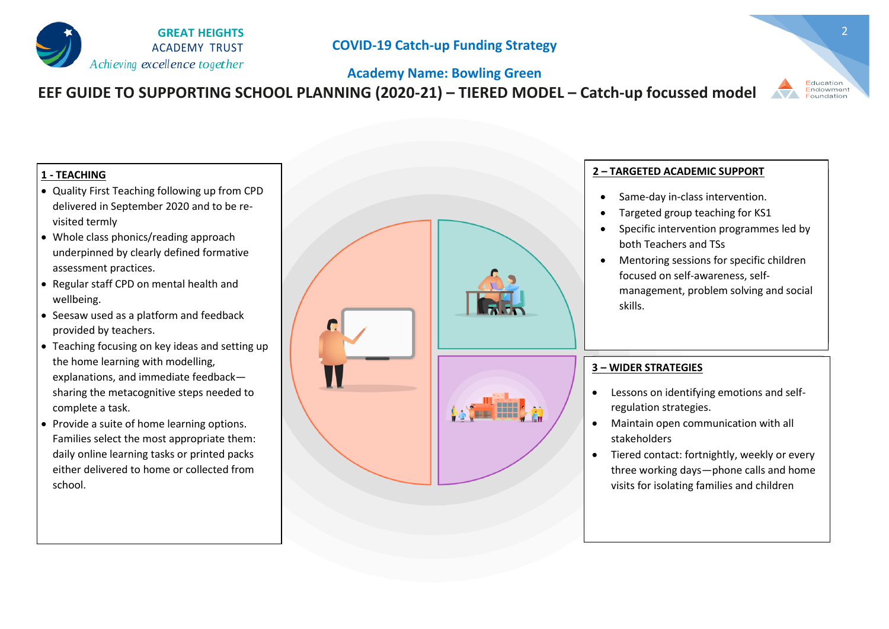

## **Academy Name: Bowling Green EEF GUIDE TO SUPPORTING SCHOOL PLANNING (2020-21) – TIERED MODEL – Catch-up focussed model**

#### **1 - TEACHING**

- Quality First Teaching following up from CPD delivered in September 2020 and to be revisited termly
- Whole class phonics/reading approach underpinned by clearly defined formative assessment practices.
- Regular staff CPD on mental health and wellbeing.
- Seesaw used as a platform and feedback provided by teachers.
- Teaching focusing on key ideas and setting up the home learning with modelling, explanations, and immediate feedback sharing the metacognitive steps needed to complete a task.
- Provide a suite of home learning options. Families select the most appropriate them: daily online learning tasks or printed packs either delivered to home or collected from school.



#### **2 – TARGETED ACADEMIC SUPPORT**

- Same-day in-class intervention.
- Targeted group teaching for KS1
- Specific intervention programmes led by both Teachers and TSs
- Mentoring sessions for specific children focused on self-awareness, selfmanagement, problem solving and social skills.

#### **3 – WIDER STRATEGIES**

- Lessons on identifying emotions and selfregulation strategies.
- Maintain open communication with all stakeholders
- Tiered contact: fortnightly, weekly or every three working days—phone calls and home visits for isolating families and children

2

Endowment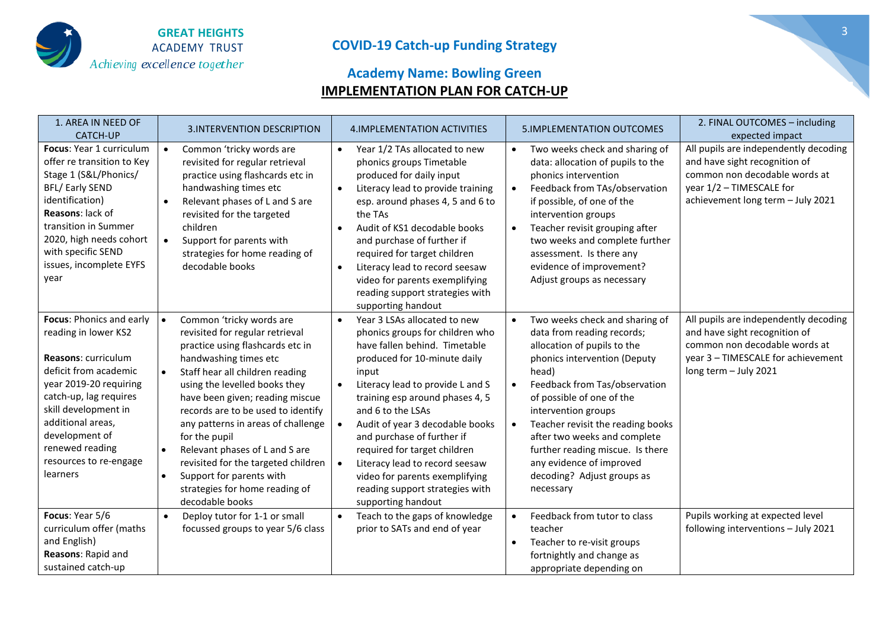

## **Academy Name: Bowling Green IMPLEMENTATION PLAN FOR CATCH-UP**

| 1. AREA IN NEED OF<br><b>CATCH-UP</b>                                                                                                                                                                                                                                                      | <b>3.INTERVENTION DESCRIPTION</b>                                                                                                                                                                                                                                                                                                                                                                                                                                                                                             | 4. IMPLEMENTATION ACTIVITIES                                                                                                                                                                                                                                                                                                                                                                                                                                                     | <b>5.IMPLEMENTATION OUTCOMES</b>                                                                                                                                                                                                                                                                                                                                                                                                    | 2. FINAL OUTCOMES - including<br>expected impact                                                                                                                         |
|--------------------------------------------------------------------------------------------------------------------------------------------------------------------------------------------------------------------------------------------------------------------------------------------|-------------------------------------------------------------------------------------------------------------------------------------------------------------------------------------------------------------------------------------------------------------------------------------------------------------------------------------------------------------------------------------------------------------------------------------------------------------------------------------------------------------------------------|----------------------------------------------------------------------------------------------------------------------------------------------------------------------------------------------------------------------------------------------------------------------------------------------------------------------------------------------------------------------------------------------------------------------------------------------------------------------------------|-------------------------------------------------------------------------------------------------------------------------------------------------------------------------------------------------------------------------------------------------------------------------------------------------------------------------------------------------------------------------------------------------------------------------------------|--------------------------------------------------------------------------------------------------------------------------------------------------------------------------|
| Focus: Year 1 curriculum<br>offer re transition to Key<br>Stage 1 (S&L/Phonics/<br><b>BFL/Early SEND</b><br>identification)<br>Reasons: lack of<br>transition in Summer<br>2020, high needs cohort<br>with specific SEND<br>issues, incomplete EYFS<br>year                                | Common 'tricky words are<br>revisited for regular retrieval<br>practice using flashcards etc in<br>handwashing times etc<br>Relevant phases of L and S are<br>revisited for the targeted<br>children<br>Support for parents with<br>strategies for home reading of<br>decodable books                                                                                                                                                                                                                                         | Year 1/2 TAs allocated to new<br>$\bullet$<br>phonics groups Timetable<br>produced for daily input<br>Literacy lead to provide training<br>$\bullet$<br>esp. around phases 4, 5 and 6 to<br>the TAs<br>Audit of KS1 decodable books<br>$\bullet$<br>and purchase of further if<br>required for target children<br>Literacy lead to record seesaw<br>video for parents exemplifying<br>reading support strategies with<br>supporting handout                                      | Two weeks check and sharing of<br>$\bullet$<br>data: allocation of pupils to the<br>phonics intervention<br>Feedback from TAs/observation<br>if possible, of one of the<br>intervention groups<br>Teacher revisit grouping after<br>$\bullet$<br>two weeks and complete further<br>assessment. Is there any<br>evidence of improvement?<br>Adjust groups as necessary                                                               | All pupils are independently decoding<br>and have sight recognition of<br>common non decodable words at<br>year 1/2 - TIMESCALE for<br>achievement long term - July 2021 |
| Focus: Phonics and early<br>reading in lower KS2<br><b>Reasons: curriculum</b><br>deficit from academic<br>year 2019-20 requiring<br>catch-up, lag requires<br>skill development in<br>additional areas,<br>development of<br>renewed reading<br>resources to re-engage<br><b>learners</b> | Common 'tricky words are<br>$\bullet$<br>revisited for regular retrieval<br>practice using flashcards etc in<br>handwashing times etc<br>Staff hear all children reading<br>using the levelled books they<br>have been given; reading miscue<br>records are to be used to identify<br>any patterns in areas of challenge<br>for the pupil<br>Relevant phases of L and S are<br>$\bullet$<br>revisited for the targeted children<br>Support for parents with<br>$\bullet$<br>strategies for home reading of<br>decodable books | Year 3 LSAs allocated to new<br>$\bullet$<br>phonics groups for children who<br>have fallen behind. Timetable<br>produced for 10-minute daily<br>input<br>Literacy lead to provide L and S<br>training esp around phases 4, 5<br>and 6 to the LSAs<br>Audit of year 3 decodable books<br>and purchase of further if<br>required for target children<br>Literacy lead to record seesaw<br>video for parents exemplifying<br>reading support strategies with<br>supporting handout | Two weeks check and sharing of<br>data from reading records;<br>allocation of pupils to the<br>phonics intervention (Deputy<br>head)<br>Feedback from Tas/observation<br>$\bullet$<br>of possible of one of the<br>intervention groups<br>Teacher revisit the reading books<br>$\bullet$<br>after two weeks and complete<br>further reading miscue. Is there<br>any evidence of improved<br>decoding? Adjust groups as<br>necessary | All pupils are independently decoding<br>and have sight recognition of<br>common non decodable words at<br>year 3 - TIMESCALE for achievement<br>long term - July 2021   |
| Focus: Year 5/6<br>curriculum offer (maths<br>and English)<br>Reasons: Rapid and<br>sustained catch-up                                                                                                                                                                                     | Deploy tutor for 1-1 or small<br>focussed groups to year 5/6 class                                                                                                                                                                                                                                                                                                                                                                                                                                                            | Teach to the gaps of knowledge<br>$\bullet$<br>prior to SATs and end of year                                                                                                                                                                                                                                                                                                                                                                                                     | Feedback from tutor to class<br>$\bullet$<br>teacher<br>Teacher to re-visit groups<br>$\bullet$<br>fortnightly and change as<br>appropriate depending on                                                                                                                                                                                                                                                                            | Pupils working at expected level<br>following interventions - July 2021                                                                                                  |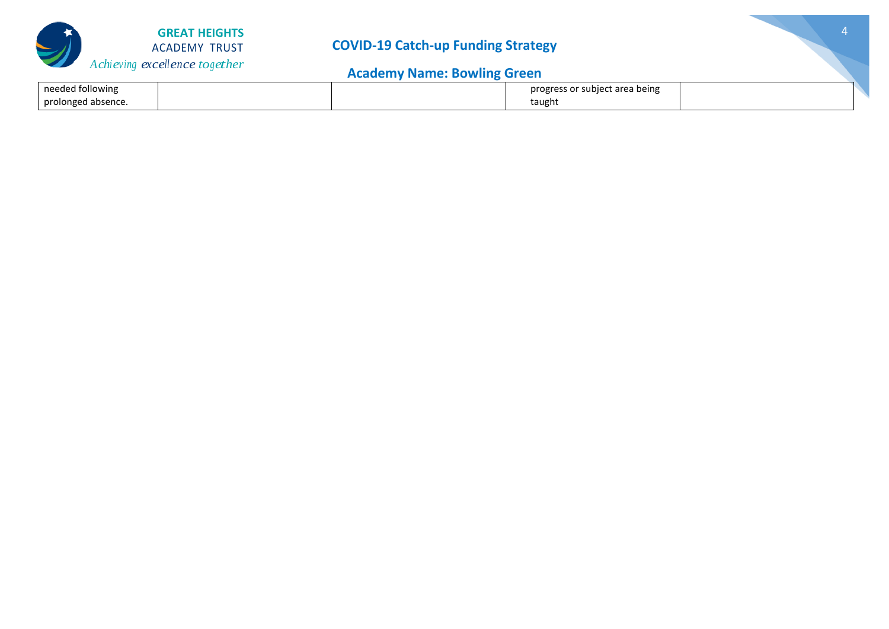

## **Academy Name: Bowling Green**

| needed following   | progress or subject area being |  |
|--------------------|--------------------------------|--|
| prolonged absence. | taught                         |  |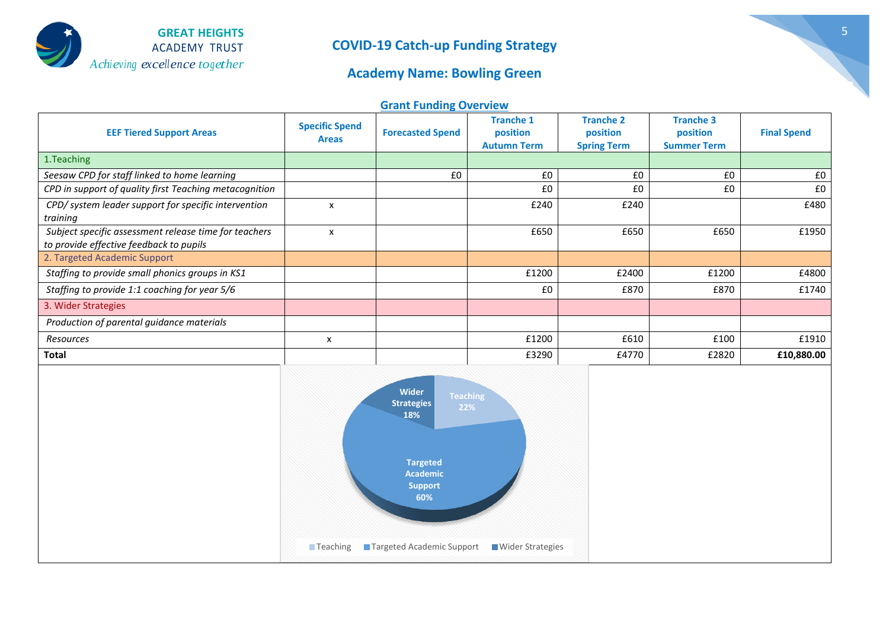

### **Academy Name: Bowling Green**

**Grant Funding Overview**

| <b>EEF Tiered Support Areas</b>                                                                  | <b>Specific Spend</b><br><b>Areas</b> | <b>Forecasted Spend</b> | <b>Tranche 1</b><br>position<br><b>Autumn Term</b> | <b>Tranche 2</b><br>position<br><b>Spring Term</b> | <b>Tranche 3</b><br>position<br><b>Summer Term</b> | <b>Final Spend</b> |
|--------------------------------------------------------------------------------------------------|---------------------------------------|-------------------------|----------------------------------------------------|----------------------------------------------------|----------------------------------------------------|--------------------|
| 1. Teaching                                                                                      |                                       |                         |                                                    |                                                    |                                                    |                    |
| Seesaw CPD for staff linked to home learning                                                     |                                       | £0                      | £0                                                 | £0                                                 | £0                                                 | £0                 |
| CPD in support of quality first Teaching metacognition                                           |                                       |                         | £0                                                 | £0                                                 | £0                                                 | £0                 |
| CPD/ system leader support for specific intervention<br>training                                 | $\boldsymbol{\mathsf{x}}$             |                         | £240                                               | £240                                               |                                                    | £480               |
| Subject specific assessment release time for teachers<br>to provide effective feedback to pupils | $\boldsymbol{\mathsf{x}}$             |                         | £650                                               | £650                                               | £650                                               | £1950              |
| 2. Targeted Academic Support                                                                     |                                       |                         |                                                    |                                                    |                                                    |                    |
| Staffing to provide small phonics groups in KS1                                                  |                                       |                         | £1200                                              | £2400                                              | £1200                                              | £4800              |
| Staffing to provide 1:1 coaching for year 5/6                                                    |                                       |                         | £0                                                 | £870                                               | £870                                               | £1740              |
| 3. Wider Strategies                                                                              |                                       |                         |                                                    |                                                    |                                                    |                    |
| Production of parental guidance materials                                                        |                                       |                         |                                                    |                                                    |                                                    |                    |
| Resources                                                                                        | x                                     |                         | £1200                                              | £610                                               | £100                                               | £1910              |
| Total                                                                                            |                                       |                         | £3290                                              | £4770                                              | £2820                                              | £10,880.00         |

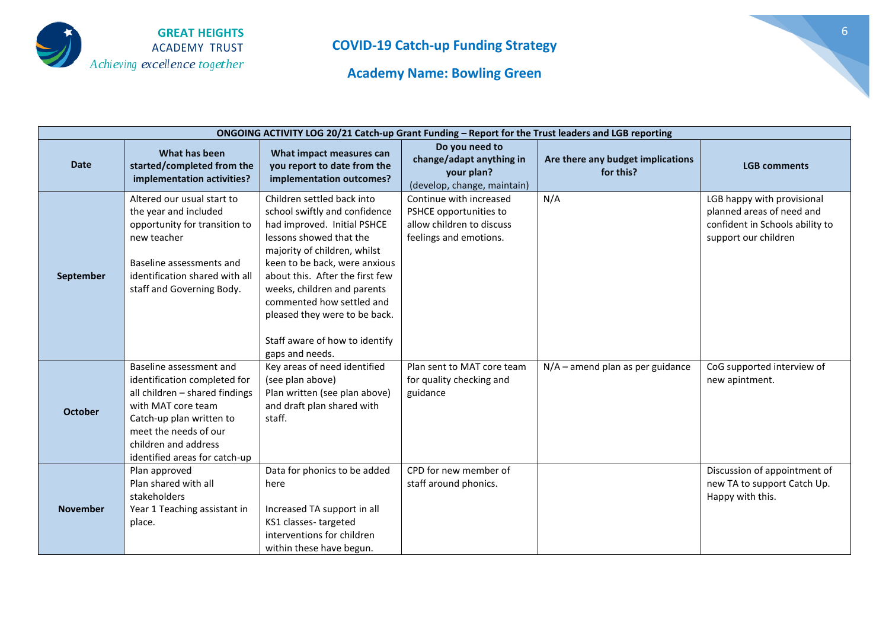

**Academy Name: Bowling Green**

| ONGOING ACTIVITY LOG 20/21 Catch-up Grant Funding - Report for the Trust leaders and LGB reporting |                                                                                                                                                                                                                               |                                                                                                                                                                                                                                                                                                                                                                             |                                                                                                          |                                                |                                                                                                                    |  |
|----------------------------------------------------------------------------------------------------|-------------------------------------------------------------------------------------------------------------------------------------------------------------------------------------------------------------------------------|-----------------------------------------------------------------------------------------------------------------------------------------------------------------------------------------------------------------------------------------------------------------------------------------------------------------------------------------------------------------------------|----------------------------------------------------------------------------------------------------------|------------------------------------------------|--------------------------------------------------------------------------------------------------------------------|--|
| <b>Date</b>                                                                                        | What has been<br>started/completed from the<br>implementation activities?                                                                                                                                                     | What impact measures can<br>you report to date from the<br>implementation outcomes?                                                                                                                                                                                                                                                                                         | Do you need to<br>change/adapt anything in<br>your plan?<br>(develop, change, maintain)                  | Are there any budget implications<br>for this? | <b>LGB comments</b>                                                                                                |  |
| September                                                                                          | Altered our usual start to<br>the year and included<br>opportunity for transition to<br>new teacher<br>Baseline assessments and<br>identification shared with all<br>staff and Governing Body.                                | Children settled back into<br>school swiftly and confidence<br>had improved. Initial PSHCE<br>lessons showed that the<br>majority of children, whilst<br>keen to be back, were anxious<br>about this. After the first few<br>weeks, children and parents<br>commented how settled and<br>pleased they were to be back.<br>Staff aware of how to identify<br>gaps and needs. | Continue with increased<br>PSHCE opportunities to<br>allow children to discuss<br>feelings and emotions. | N/A                                            | LGB happy with provisional<br>planned areas of need and<br>confident in Schools ability to<br>support our children |  |
| <b>October</b>                                                                                     | Baseline assessment and<br>identification completed for<br>all children - shared findings<br>with MAT core team<br>Catch-up plan written to<br>meet the needs of our<br>children and address<br>identified areas for catch-up | Key areas of need identified<br>(see plan above)<br>Plan written (see plan above)<br>and draft plan shared with<br>staff.                                                                                                                                                                                                                                                   | Plan sent to MAT core team<br>for quality checking and<br>guidance                                       | $N/A$ – amend plan as per guidance             | CoG supported interview of<br>new apintment.                                                                       |  |
| <b>November</b>                                                                                    | Plan approved<br>Plan shared with all<br>stakeholders<br>Year 1 Teaching assistant in<br>place.                                                                                                                               | Data for phonics to be added<br>here<br>Increased TA support in all<br>KS1 classes-targeted<br>interventions for children<br>within these have begun.                                                                                                                                                                                                                       | CPD for new member of<br>staff around phonics.                                                           |                                                | Discussion of appointment of<br>new TA to support Catch Up.<br>Happy with this.                                    |  |